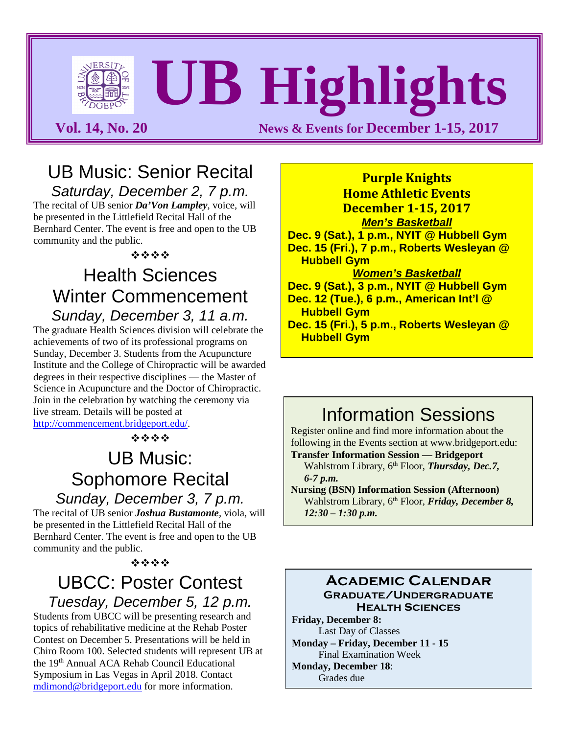# **UB Highlights**

**Vol. 14, No. 20 News & Events for December 1-15, 2017** 

# UB Music: Senior Recital

*Saturday, December 2, 7 p.m.*  The recital of UB senior *Da'Von Lampley*, voice, will

be presented in the Littlefield Recital Hall of the Bernhard Center. The event is free and open to the UB community and the public.

经合金额

### Health Sciences Winter Commencement *Sunday, December 3, 11 a.m.*

The graduate Health Sciences division will celebrate the achievements of two of its professional programs on Sunday, December 3. Students from the Acupuncture Institute and the College of Chiropractic will be awarded degrees in their respective disciplines — the Master of Science in Acupuncture and the Doctor of Chiropractic. Join in the celebration by watching the ceremony via live stream. Details will be posted at [http://commencement.bridgeport.edu/.](http://commencement.bridgeport.edu/)

 $\label{eq:2.1} \frac{d^2\mathbf{p}}{d\mathbf{p}} = \frac{d^2\mathbf{p}}{d\mathbf{p}} + \frac{d^2\mathbf{p}}{d\mathbf{p}} + \frac{d^2\mathbf{p}}{d\mathbf{p}}$ 

# UB Music: Sophomore Recital

*Sunday, December 3, 7 p.m.* 

The recital of UB senior *Joshua Bustamonte*, viola, will be presented in the Littlefield Recital Hall of the Bernhard Center. The event is free and open to the UB community and the public.

#### 经合金额

#### UBCC: Poster Contest *Tuesday, December 5, 12 p.m.*

Students from UBCC will be presenting research and topics of rehabilitative medicine at the Rehab Poster Contest on December 5. Presentations will be held in Chiro Room 100. Selected students will represent UB at the 19th Annual ACA Rehab Council Educational Symposium in Las Vegas in April 2018. Contact [mdimond@bridgeport.edu](mailto:mdimond@bridgeport.edu) for more information.

**Purple Knights Home Athletic Events December 1-15, 2017** *Men's Basketball* **Dec. 9 (Sat.), 1 p.m., NYIT @ Hubbell Gym Dec. 15 (Fri.), 7 p.m., Roberts Wesleyan @ Hubbell Gym** *Women's Basketball* **Dec. 9 (Sat.), 3 p.m., NYIT @ Hubbell Gym Dec. 12 (Tue.), 6 p.m., American Int'l @ Hubbell Gym Dec. 15 (Fri.), 5 p.m., Roberts Wesleyan @ Hubbell Gym**

# Information Sessions

Register online and find more information about the following in the Events section at [www.bridgeport.edu:](http://www.bridgeport.edu/)

**Transfer Information Session — Bridgeport** Wahlstrom Library, 6<sup>th</sup> Floor, *Thursday*, *Dec.7*, *6-7 p.m.*

**Nursing (BSN) Information Session (Afternoon)** Wahlstrom Library, 6<sup>th</sup> Floor, *Friday*, *December 8*, *12:30 – 1:30 p.m.*

#### **Academic Calendar Graduate/Undergraduate**

**Health Sciences Friday, December 8:** Last Day of Classes **Monday – Friday, December 11 - 15** Final Examination Week **Monday, December 18**: Grades due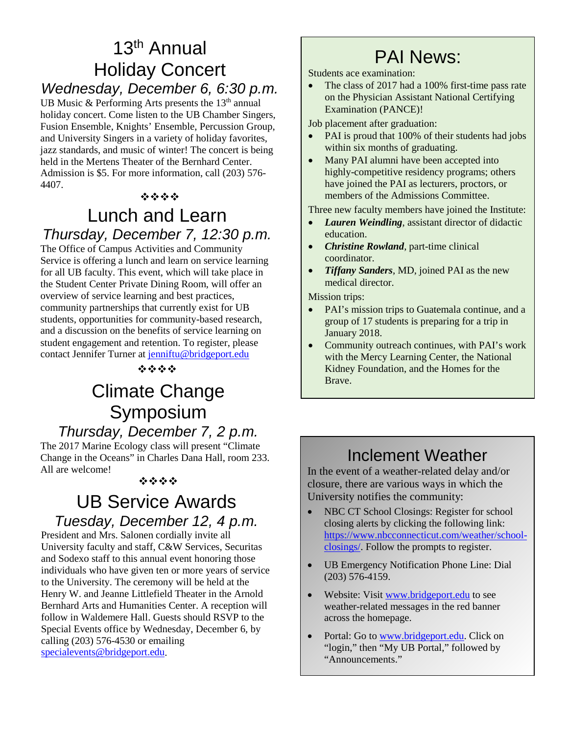# 13th Annual Holiday Concert

#### *Wednesday, December 6, 6:30 p.m.*

UB Music & Performing Arts presents the  $13<sup>th</sup>$  annual holiday concert. Come listen to the UB Chamber Singers, Fusion Ensemble, Knights' Ensemble, Percussion Group, and University Singers in a variety of holiday favorites, jazz standards, and music of winter! The concert is being held in the Mertens Theater of the Bernhard Center. Admission is \$5. For more information, call (203) 576- 4407.

#### $\label{eq:2.1} \mathcal{L}_{\mathcal{M}}^{\mathcal{M}}(\mathcal{L}_{\mathcal{M}}^{\mathcal{M}}(\mathcal{L}_{\mathcal{M}}^{\mathcal{M}}(\mathcal{L}_{\mathcal{M}}^{\mathcal{M}}))$

#### Lunch and Learn *Thursday, December 7, 12:30 p.m.*

The Office of Campus Activities and Community Service is offering a lunch and learn on service learning for all UB faculty. This event, which will take place in the Student Center Private Dining Room, will offer an overview of service learning and best practices, community partnerships that currently exist for UB students, opportunities for community-based research, and a discussion on the benefits of service learning on student engagement and retention. To register, please contact Jennifer Turner at [jenniftu@bridgeport.edu](mailto:jenniftu@bridgeport.edu)

 $45.45.45.45$ 

# Climate Change **Example 2** Brave. Symposium *Thursday, December 7, 2 p.m.*

The 2017 Marine Ecology class will present "Climate Change in the Oceans" in Charles Dana Hall, room 233. All are welcome!

#### 经合金额

### UB Service Awards *Tuesday, December 12, 4 p.m.*

President and Mrs. Salonen cordially invite all University faculty and staff, C&W Services, Securitas and Sodexo staff to this annual event honoring those individuals who have given ten or more years of service to the University. The ceremony will be held at the Henry W. and Jeanne Littlefield Theater in the Arnold Bernhard Arts and Humanities Center. A reception will follow in Waldemere Hall. Guests should RSVP to the Special Events office by Wednesday, December 6, by calling (203) 576-4530 or emailing [specialevents@bridgeport.edu.](mailto:specialevents@bridgeport.edu)

# PAI News:

Students ace examination:

The class of 2017 had a 100% first-time pass rate on the Physician Assistant National Certifying Examination (PANCE)!

Job placement after graduation:

- PAI is proud that 100% of their students had jobs within six months of graduating.
- Many PAI alumni have been accepted into highly-competitive residency programs; others have joined the PAI as lecturers, proctors, or members of the Admissions Committee.

Three new faculty members have joined the Institute:

- *Lauren Weindling*, assistant director of didactic education.
- *Christine Rowland*, part-time clinical coordinator.
- *Tiffany Sanders*, MD, joined PAI as the new medical director.

Mission trips:

- PAI's mission trips to Guatemala continue, and a group of 17 students is preparing for a trip in January 2018.
- Community outreach continues, with PAI's work with the Mercy Learning Center, the National Kidney Foundation, and the Homes for the

#### Inclement Weather

In the event of a weather-related delay and/or closure, there are various ways in which the University notifies the community:

- NBC CT School Closings: Register for school closing alerts by clicking the following link: [https://www.nbcconnecticut.com/weather/school](https://www.nbcconnecticut.com/weather/school-closings/)[closings/.](https://www.nbcconnecticut.com/weather/school-closings/) Follow the prompts to register.
- UB Emergency Notification Phone Line: Dial (203) 576-4159.
- Website: Visit [www.bridgeport.edu](http://www.bridgeport.edu/) to see weather-related messages in the red banner across the homepage.
- Portal: Go to [www.bridgeport.edu.](http://www.bridgeport.edu/) Click on "login," then "My UB Portal," followed by "Announcements."